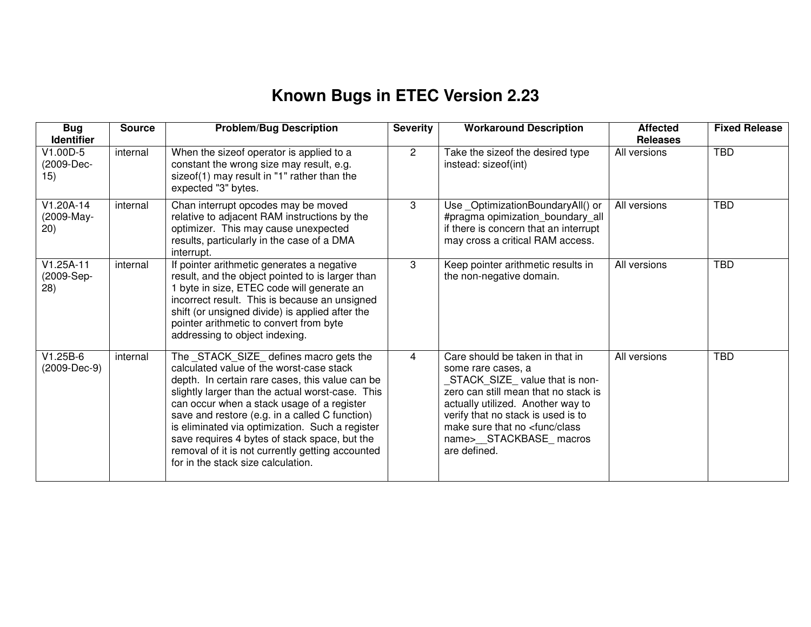## **Known Bugs in ETEC Version 2.23**

| <b>Bug</b><br><b>Identifier</b>   | <b>Source</b> | <b>Problem/Bug Description</b>                                                                                                                                                                                                                                                                                                                                                                                                                                                           | <b>Severity</b> | <b>Workaround Description</b>                                                                                                                                                                                                                                                                       | <b>Affected</b><br><b>Releases</b> | <b>Fixed Release</b> |
|-----------------------------------|---------------|------------------------------------------------------------------------------------------------------------------------------------------------------------------------------------------------------------------------------------------------------------------------------------------------------------------------------------------------------------------------------------------------------------------------------------------------------------------------------------------|-----------------|-----------------------------------------------------------------------------------------------------------------------------------------------------------------------------------------------------------------------------------------------------------------------------------------------------|------------------------------------|----------------------|
| V1.00D-5<br>(2009-Dec-<br>15)     | internal      | When the sizeof operator is applied to a<br>constant the wrong size may result, e.g.<br>sizeof(1) may result in "1" rather than the<br>expected "3" bytes.                                                                                                                                                                                                                                                                                                                               | $\overline{2}$  | Take the sizeof the desired type<br>instead: sizeof(int)                                                                                                                                                                                                                                            | All versions                       | <b>TBD</b>           |
| $V1.20A-14$<br>(2009-May-<br>(20) | internal      | Chan interrupt opcodes may be moved<br>relative to adjacent RAM instructions by the<br>optimizer. This may cause unexpected<br>results, particularly in the case of a DMA<br>interrupt.                                                                                                                                                                                                                                                                                                  | 3               | Use_OptimizationBoundaryAll() or<br>#pragma opimization_boundary_all<br>if there is concern that an interrupt<br>may cross a critical RAM access.                                                                                                                                                   | All versions                       | <b>TBD</b>           |
| $V1.25A-11$<br>(2009-Sep-<br>(28) | internal      | If pointer arithmetic generates a negative<br>result, and the object pointed to is larger than<br>1 byte in size, ETEC code will generate an<br>incorrect result. This is because an unsigned<br>shift (or unsigned divide) is applied after the<br>pointer arithmetic to convert from byte<br>addressing to object indexing.                                                                                                                                                            | 3               | Keep pointer arithmetic results in<br>the non-negative domain.                                                                                                                                                                                                                                      | All versions                       | <b>TBD</b>           |
| $V1.25B-6$<br>(2009-Dec-9)        | internal      | The _STACK_SIZE_ defines macro gets the<br>calculated value of the worst-case stack<br>depth. In certain rare cases, this value can be<br>slightly larger than the actual worst-case. This<br>can occur when a stack usage of a register<br>save and restore (e.g. in a called C function)<br>is eliminated via optimization. Such a register<br>save requires 4 bytes of stack space, but the<br>removal of it is not currently getting accounted<br>for in the stack size calculation. | 4               | Care should be taken in that in<br>some rare cases, a<br>STACK_SIZE_value that is non-<br>zero can still mean that no stack is<br>actually utilized. Another way to<br>verify that no stack is used is to<br>make sure that no <func class<br="">name&gt;__STACKBASE_macros<br/>are defined.</func> | All versions                       | <b>TBD</b>           |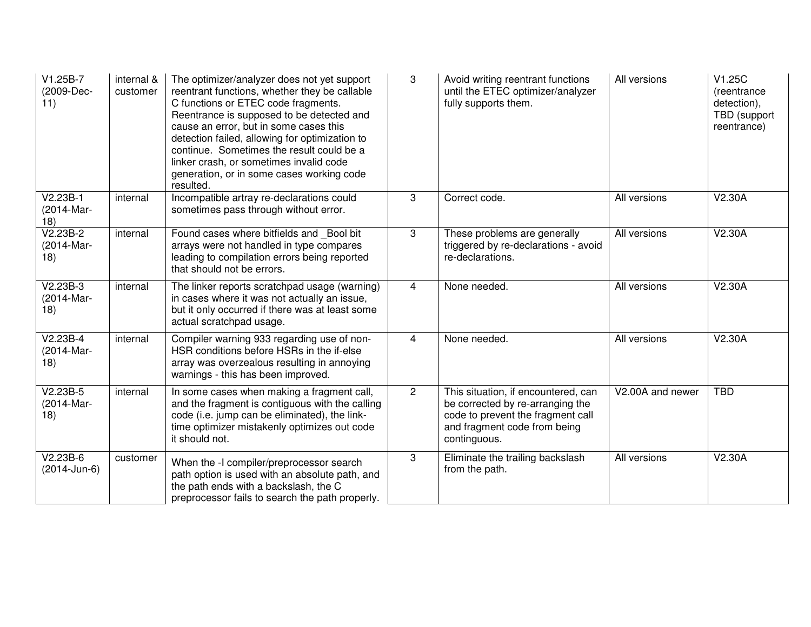| $V1.25B-7$<br>(2009-Dec-<br>11) | internal &<br>customer | The optimizer/analyzer does not yet support<br>reentrant functions, whether they be callable<br>C functions or ETEC code fragments.<br>Reentrance is supposed to be detected and<br>cause an error, but in some cases this<br>detection failed, allowing for optimization to<br>continue. Sometimes the result could be a<br>linker crash, or sometimes invalid code<br>generation, or in some cases working code<br>resulted. | 3              | Avoid writing reentrant functions<br>until the ETEC optimizer/analyzer<br>fully supports them.                                                               | All versions     | V1.25C<br>(reentrance<br>detection),<br>TBD (support<br>reentrance) |
|---------------------------------|------------------------|--------------------------------------------------------------------------------------------------------------------------------------------------------------------------------------------------------------------------------------------------------------------------------------------------------------------------------------------------------------------------------------------------------------------------------|----------------|--------------------------------------------------------------------------------------------------------------------------------------------------------------|------------------|---------------------------------------------------------------------|
| $V2.23B-1$<br>(2014-Mar-<br>18) | internal               | Incompatible artray re-declarations could<br>sometimes pass through without error.                                                                                                                                                                                                                                                                                                                                             | 3              | Correct code.                                                                                                                                                | All versions     | V2.30A                                                              |
| $V2.23B-2$<br>(2014-Mar-<br>18) | internal               | Found cases where bitfields and Bool bit<br>arrays were not handled in type compares<br>leading to compilation errors being reported<br>that should not be errors.                                                                                                                                                                                                                                                             | 3              | These problems are generally<br>triggered by re-declarations - avoid<br>re-declarations.                                                                     | All versions     | V2.30A                                                              |
| $V2.23B-3$<br>(2014-Mar-<br>18) | internal               | The linker reports scratchpad usage (warning)<br>in cases where it was not actually an issue,<br>but it only occurred if there was at least some<br>actual scratchpad usage.                                                                                                                                                                                                                                                   | 4              | None needed.                                                                                                                                                 | All versions     | V2.30A                                                              |
| $V2.23B-4$<br>(2014-Mar-<br>18) | internal               | Compiler warning 933 regarding use of non-<br>HSR conditions before HSRs in the if-else<br>array was overzealous resulting in annoying<br>warnings - this has been improved.                                                                                                                                                                                                                                                   | 4              | None needed.                                                                                                                                                 | All versions     | V2.30A                                                              |
| $V2.23B-5$<br>(2014-Mar-<br>18) | internal               | In some cases when making a fragment call,<br>and the fragment is contiguous with the calling<br>code (i.e. jump can be eliminated), the link-<br>time optimizer mistakenly optimizes out code<br>it should not.                                                                                                                                                                                                               | $\overline{2}$ | This situation, if encountered, can<br>be corrected by re-arranging the<br>code to prevent the fragment call<br>and fragment code from being<br>continguous. | V2.00A and newer | <b>TBD</b>                                                          |
| $V2.23B-6$<br>(2014-Jun-6)      | customer               | When the -I compiler/preprocessor search<br>path option is used with an absolute path, and<br>the path ends with a backslash, the C<br>preprocessor fails to search the path properly.                                                                                                                                                                                                                                         | 3              | Eliminate the trailing backslash<br>from the path.                                                                                                           | All versions     | V2.30A                                                              |